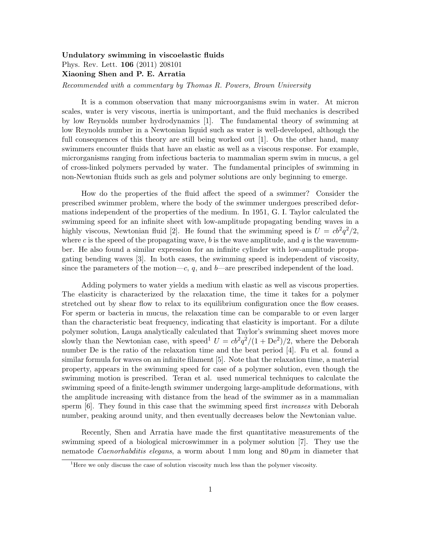## Undulatory swimming in viscoelastic fluids Phys. Rev. Lett. 106 (2011) 208101 Xiaoning Shen and P. E. Arratia

*Recommended with a commentary by Thomas R. Powers, Brown University*

It is a common observation that many microorganisms swim in water. At micron scales, water is very viscous, inertia is unimportant, and the fluid mechanics is described by low Reynolds number hydrodynamics [1]. The fundamental theory of swimming at low Reynolds number in a Newtonian liquid such as water is well-developed, although the full consequences of this theory are still being worked out [1]. On the other hand, many swimmers encounter fluids that have an elastic as well as a viscous response. For example, microrganisms ranging from infectious bacteria to mammalian sperm swim in mucus, a gel of cross-linked polymers pervaded by water. The fundamental principles of swimming in non-Newtonian fluids such as gels and polymer solutions are only beginning to emerge.

How do the properties of the fluid affect the speed of a swimmer? Consider the prescribed swimmer problem, where the body of the swimmer undergoes prescribed deformations independent of the properties of the medium. In 1951, G. I. Taylor calculated the swimming speed for an infinite sheet with low-amplitude propagating bending waves in a highly viscous, Newtonian fluid [2]. He found that the swimming speed is  $U = cb^2q^2/2$ , where *c* is the speed of the propagating wave, *b* is the wave amplitude, and *q* is the wavenumber. He also found a similar expression for an infinite cylinder with low-amplitude propagating bending waves [3]. In both cases, the swimming speed is independent of viscosity, since the parameters of the motion— $c, q$ , and  $b$ —are prescribed independent of the load.

Adding polymers to water yields a medium with elastic as well as viscous properties. The elasticity is characterized by the relaxation time, the time it takes for a polymer stretched out by shear flow to relax to its equilibrium configuration once the flow ceases. For sperm or bacteria in mucus, the relaxation time can be comparable to or even larger than the characteristic beat frequency, indicating that elasticity is important. For a dilute polymer solution, Lauga analytically calculated that Taylor's swimming sheet moves more slowly than the Newtonian case, with speed<sup>1</sup>  $U = cb^2q^2/(1 + De^2)/2$ , where the Deborah number De is the ratio of the relaxation time and the beat period [4]. Fu et al. found a similar formula for waves on an infinite filament [5]. Note that the relaxation time, a material property, appears in the swimming speed for case of a polymer solution, even though the swimming motion is prescribed. Teran et al. used numerical techniques to calculate the swimming speed of a finite-length swimmer undergoing large-amplitude deformations, with the amplitude increasing with distance from the head of the swimmer as in a mammalian sperm [6]. They found in this case that the swimming speed first *increases* with Deborah number, peaking around unity, and then eventually decreases below the Newtonian value.

Recently, Shen and Arratia have made the first quantitative measurements of the swimming speed of a biological microswimmer in a polymer solution [7]. They use the nematode *Caenorhabditis elegans*, a worm about 1 mm long and 80 *µ*m in diameter that

<sup>1</sup>Here we only discuss the case of solution viscosity much less than the polymer viscosity.